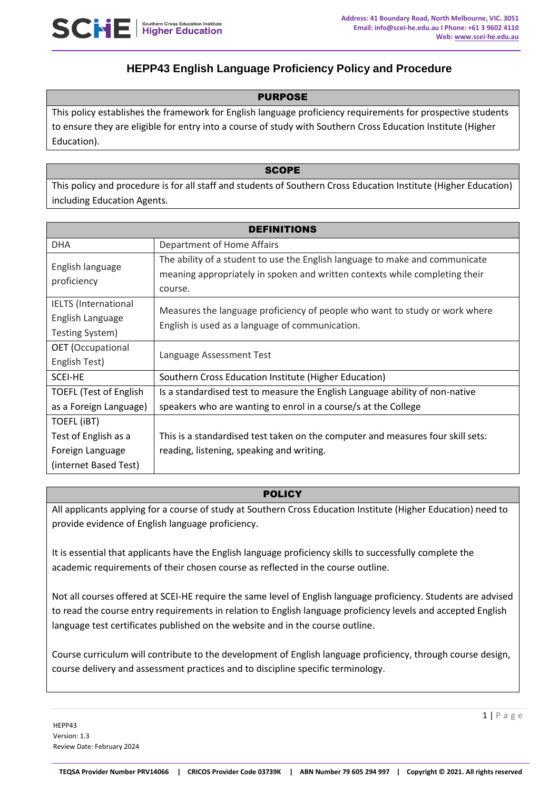

# **HEPP43 English Language Proficiency Policy and Procedure**

#### **PURPOSE**

This policy establishes the framework for English language proficiency requirements for prospective students to ensure they are eligible for entry into a course of study with Southern Cross Education Institute (Higher Education).

#### **SCOPE**

This policy and procedure is for all staff and students of Southern Cross Education Institute (Higher Education) including Education Agents.

| <b>DEFINITIONS</b>                                                 |                                                                                                                                                                        |  |  |
|--------------------------------------------------------------------|------------------------------------------------------------------------------------------------------------------------------------------------------------------------|--|--|
| <b>DHA</b>                                                         | Department of Home Affairs                                                                                                                                             |  |  |
| English language<br>proficiency                                    | The ability of a student to use the English language to make and communicate<br>meaning appropriately in spoken and written contexts while completing their<br>course. |  |  |
| <b>IELTS</b> (International<br>English Language<br>Testing System) | Measures the language proficiency of people who want to study or work where<br>English is used as a language of communication.                                         |  |  |
| <b>OET</b> (Occupational<br>English Test)                          | Language Assessment Test                                                                                                                                               |  |  |
| SCEI-HE                                                            | Southern Cross Education Institute (Higher Education)                                                                                                                  |  |  |
| <b>TOEFL (Test of English</b>                                      | Is a standardised test to measure the English Language ability of non-native                                                                                           |  |  |
| as a Foreign Language)                                             | speakers who are wanting to enrol in a course/s at the College                                                                                                         |  |  |
| TOEFL (IBT)                                                        |                                                                                                                                                                        |  |  |
| Test of English as a                                               | This is a standardised test taken on the computer and measures four skill sets:                                                                                        |  |  |
| Foreign Language                                                   | reading, listening, speaking and writing.                                                                                                                              |  |  |
| (internet Based Test)                                              |                                                                                                                                                                        |  |  |

#### **POLICY**

All applicants applying for a course of study at Southern Cross Education Institute (Higher Education) need to provide evidence of English language proficiency.

It is essential that applicants have the English language proficiency skills to successfully complete the academic requirements of their chosen course as reflected in the course outline.

Not all courses offered at SCEI-HE require the same level of English language proficiency. Students are advised to read the course entry requirements in relation to English language proficiency levels and accepted English language test certificates published on the website and in the course outline.

Course curriculum will contribute to the development of English language proficiency, through course design, course delivery and assessment practices and to discipline specific terminology.

HEPP43 Version: 1.3 Review Date: February 2024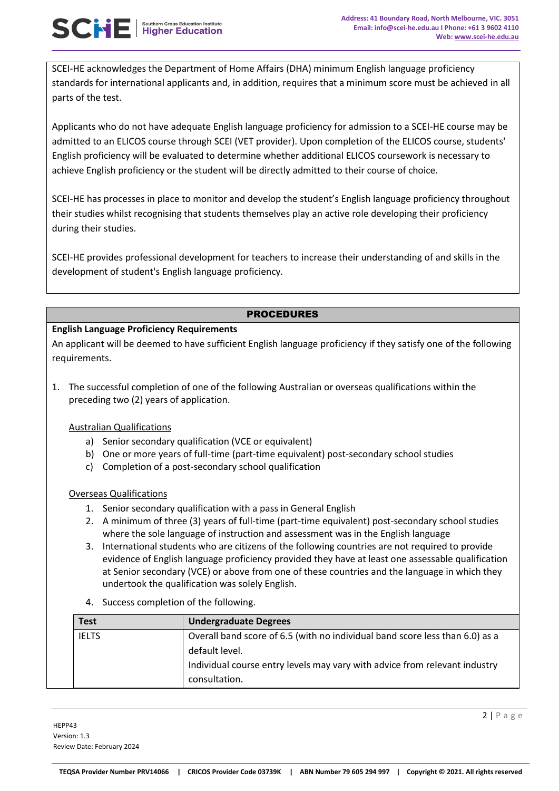SCEI-HE acknowledges the Department of Home Affairs (DHA) minimum English language proficiency standards for international applicants and, in addition, requires that a minimum score must be achieved in all parts of the test.

Applicants who do not have adequate English language proficiency for admission to a SCEI-HE course may be admitted to an ELICOS course through SCEI (VET provider). Upon completion of the ELICOS course, students' English proficiency will be evaluated to determine whether additional ELICOS coursework is necessary to achieve English proficiency or the student will be directly admitted to their course of choice.

SCEI-HE has processes in place to monitor and develop the student's English language proficiency throughout their studies whilst recognising that students themselves play an active role developing their proficiency during their studies.

SCEI-HE provides professional development for teachers to increase their understanding of and skills in the development of student's English language proficiency.

## PROCEDURES

### **English Language Proficiency Requirements**

An applicant will be deemed to have sufficient English language proficiency if they satisfy one of the following requirements.

1. The successful completion of one of the following Australian or overseas qualifications within the preceding two (2) years of application.

### Australian Qualifications

- a) Senior secondary qualification (VCE or equivalent)
- b) One or more years of full-time (part-time equivalent) post-secondary school studies
- c) Completion of a post-secondary school qualification

#### Overseas Qualifications

- 1. Senior secondary qualification with a pass in General English
- 2. A minimum of three (3) years of full-time (part-time equivalent) post-secondary school studies where the sole language of instruction and assessment was in the English language
- 3. International students who are citizens of the following countries are not required to provide evidence of English language proficiency provided they have at least one assessable qualification at Senior secondary (VCE) or above from one of these countries and the language in which they undertook the qualification was solely English.
- 4. Success completion of the following.

| Test         | <b>Undergraduate Degrees</b>                                                 |
|--------------|------------------------------------------------------------------------------|
| <b>IELTS</b> | Overall band score of 6.5 (with no individual band score less than 6.0) as a |
|              | default level.                                                               |
|              | Individual course entry levels may vary with advice from relevant industry   |
|              | consultation.                                                                |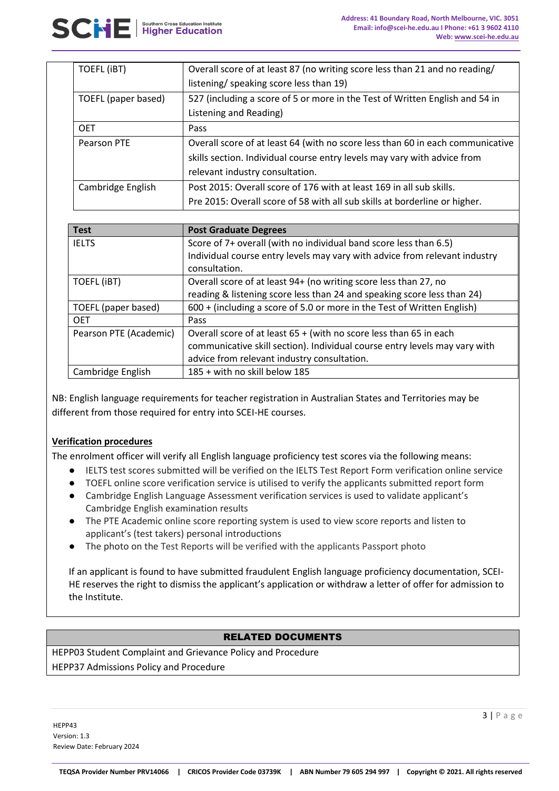| TOEFL (iBT)         | Overall score of at least 87 (no writing score less than 21 and no reading/    |
|---------------------|--------------------------------------------------------------------------------|
|                     | listening/ speaking score less than 19)                                        |
| TOEFL (paper based) | 527 (including a score of 5 or more in the Test of Written English and 54 in   |
|                     | Listening and Reading)                                                         |
| <b>OET</b>          | Pass                                                                           |
| Pearson PTE         | Overall score of at least 64 (with no score less than 60 in each communicative |
|                     | skills section. Individual course entry levels may vary with advice from       |
|                     | relevant industry consultation.                                                |
| Cambridge English   | Post 2015: Overall score of 176 with at least 169 in all sub skills.           |
|                     | Pre 2015: Overall score of 58 with all sub skills at borderline or higher.     |

| <b>Test</b>            | <b>Post Graduate Degrees</b>                                               |
|------------------------|----------------------------------------------------------------------------|
| <b>IELTS</b>           | Score of 7+ overall (with no individual band score less than 6.5)          |
|                        | Individual course entry levels may vary with advice from relevant industry |
|                        | consultation.                                                              |
| TOEFL (iBT)            | Overall score of at least 94+ (no writing score less than 27, no           |
|                        | reading & listening score less than 24 and speaking score less than 24)    |
| TOEFL (paper based)    | 600 + (including a score of 5.0 or more in the Test of Written English)    |
| <b>OET</b>             | Pass                                                                       |
| Pearson PTE (Academic) | Overall score of at least $65 +$ (with no score less than 65 in each       |
|                        | communicative skill section). Individual course entry levels may vary with |
|                        | advice from relevant industry consultation.                                |
| Cambridge English      | 185 + with no skill below 185                                              |

NB: English language requirements for teacher registration in Australian States and Territories may be different from those required for entry into SCEI-HE courses.

### **Verification procedures**

The enrolment officer will verify all English language proficiency test scores via the following means:

- IELTS test scores submitted will be verified on the IELTS Test Report Form verification online service
- TOEFL online score verification service is utilised to verify the applicants submitted report form
- Cambridge English Language Assessment verification services is used to validate applicant's Cambridge English examination results
- The PTE Academic online score reporting system is used to view score reports and listen to applicant's (test takers) personal introductions
- The photo on the Test Reports will be verified with the applicants Passport photo

If an applicant is found to have submitted fraudulent English language proficiency documentation, SCEI-HE reserves the right to dismiss the applicant's application or withdraw a letter of offer for admission to the Institute.

### RELATED DOCUMENTS

HEPP03 Student Complaint and Grievance Policy and Procedure HEPP37 Admissions Policy and Procedure